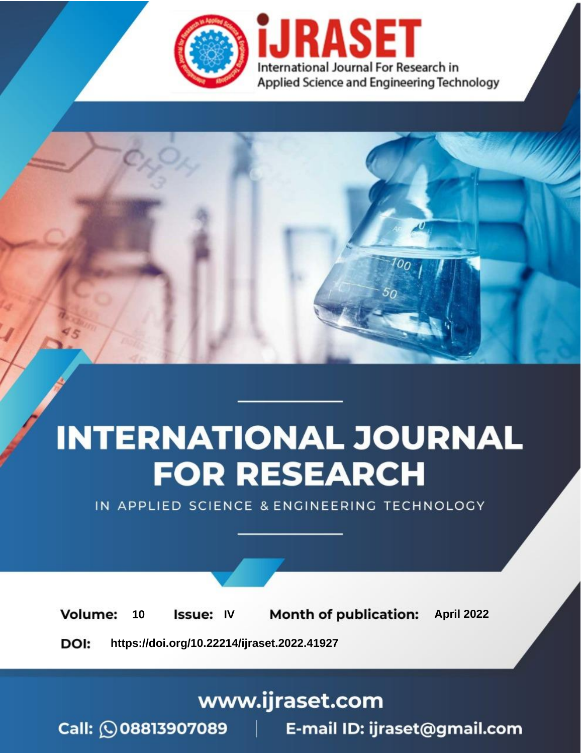

# **INTERNATIONAL JOURNAL FOR RESEARCH**

IN APPLIED SCIENCE & ENGINEERING TECHNOLOGY

10 **Issue: IV Month of publication:** April 2022 **Volume:** 

**https://doi.org/10.22214/ijraset.2022.41927**DOI:

www.ijraset.com

Call: 008813907089 | E-mail ID: ijraset@gmail.com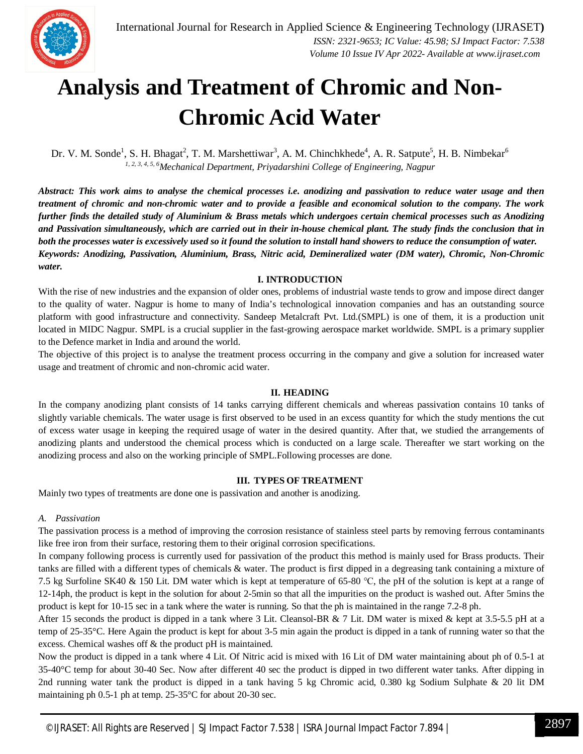

### **Analysis and Treatment of Chromic and Non-Chromic Acid Water**

Dr. V. M. Sonde<sup>1</sup>, S. H. Bhagat<sup>2</sup>, T. M. Marshettiwar<sup>3</sup>, A. M. Chinchkhede<sup>4</sup>, A. R. Satpute<sup>5</sup>, H. B. Nimbekar<sup>6</sup> *1, 2, 3, 4, 5, <sup>6</sup>Mechanical Department, Priyadarshini College of Engineering, Nagpur*

Abstract: This work aims to analyse the chemical processes i.e. anodizing and passivation to reduce water usage and then treatment of chromic and non-chromic water and to provide a feasible and economical solution to the company. The work further finds the detailed study of Aluminium & Brass metals which undergoes certain chemical processes such as Anodizing and Passivation simultaneously, which are carried out in their in-house chemical plant. The study finds the conclusion that in both the processes water is excessively used so it found the solution to install hand showers to reduce the consumption of water. *Keywords: Anodizing, Passivation, Aluminium, Brass, Nitric acid, Demineralized water (DM water), Chromic, Non-Chromic water.*

#### **I. INTRODUCTION**

With the rise of new industries and the expansion of older ones, problems of industrial waste tends to grow and impose direct danger to the quality of water. Nagpur is home to many of India's technological innovation companies and has an outstanding source platform with good infrastructure and connectivity. Sandeep Metalcraft Pvt. Ltd.(SMPL) is one of them, it is a production unit located in MIDC Nagpur. SMPL is a crucial supplier in the fast-growing aerospace market worldwide. SMPL is a primary supplier to the Defence market in India and around the world.

The objective of this project is to analyse the treatment process occurring in the company and give a solution for increased water usage and treatment of chromic and non-chromic acid water.

#### **II. HEADING**

In the company anodizing plant consists of 14 tanks carrying different chemicals and whereas passivation contains 10 tanks of slightly variable chemicals. The water usage is first observed to be used in an excess quantity for which the study mentions the cut of excess water usage in keeping the required usage of water in the desired quantity. After that, we studied the arrangements of anodizing plants and understood the chemical process which is conducted on a large scale. Thereafter we start working on the anodizing process and also on the working principle of SMPL.Following processes are done.

#### **III. TYPES OF TREATMENT**

Mainly two types of treatments are done one is passivation and another is anodizing.

#### *A. Passivation*

The passivation process is a method of improving the corrosion resistance of stainless steel parts by removing ferrous contaminants like free iron from their surface, restoring them to their original corrosion specifications.

In company following process is currently used for passivation of the product this method is mainly used for Brass products. Their tanks are filled with a different types of chemicals & water. The product is first dipped in a degreasing tank containing a mixture of 7.5 kg Surfoline SK40 & 150 Lit. DM water which is kept at temperature of 65-80 ℃, the pH of the solution is kept at a range of 12-14ph, the product is kept in the solution for about 2-5min so that all the impurities on the product is washed out. After 5mins the product is kept for 10-15 sec in a tank where the water is running. So that the ph is maintained in the range 7.2-8 ph.

After 15 seconds the product is dipped in a tank where 3 Lit. Cleansol-BR  $\& 7$  Lit. DM water is mixed  $\&$  kept at 3.5-5.5 pH at a temp of 25-35°C. Here Again the product is kept for about 3-5 min again the product is dipped in a tank of running water so that the excess. Chemical washes off & the product pH is maintained.

Now the product is dipped in a tank where 4 Lit. Of Nitric acid is mixed with 16 Lit of DM water maintaining about ph of 0.5-1 at 35-40°C temp for about 30-40 Sec. Now after different 40 sec the product is dipped in two different water tanks. After dipping in 2nd running water tank the product is dipped in a tank having 5 kg Chromic acid, 0.380 kg Sodium Sulphate & 20 lit DM maintaining ph 0.5-1 ph at temp. 25-35°C for about 20-30 sec.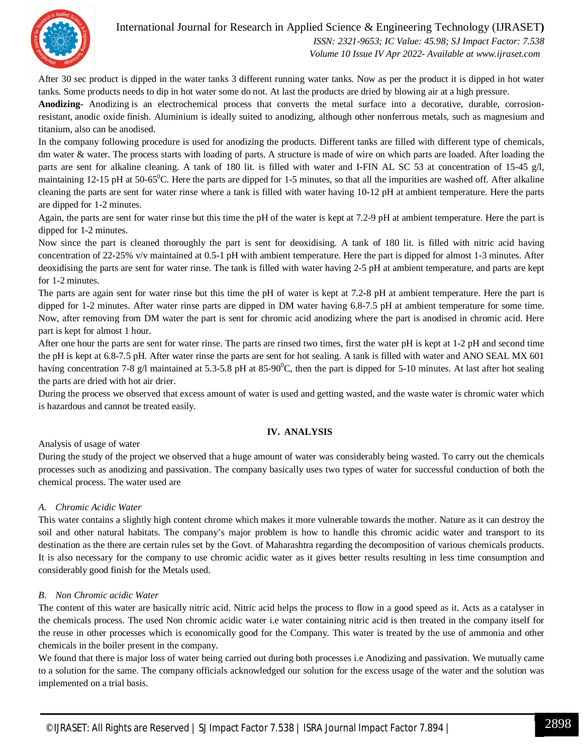

 *Volume 10 Issue IV Apr 2022- Available at www.ijraset.com*

After 30 sec product is dipped in the water tanks 3 different running water tanks. Now as per the product it is dipped in hot water tanks. Some products needs to dip in hot water some do not. At last the products are dried by blowing air at a high pressure.

**Anodizing-** Anodizing is an electrochemical process that converts the metal surface into a decorative, durable, corrosionresistant, anodic oxide finish. Aluminium is ideally suited to anodizing, although other nonferrous metals, such as magnesium and titanium, also can be anodised.

In the company following procedure is used for anodizing the products. Different tanks are filled with different type of chemicals, dm water & water. The process starts with loading of parts. A structure is made of wire on which parts are loaded. After loading the parts are sent for alkaline cleaning. A tank of 180 lit. is filled with water and I-FIN AL SC 53 at concentration of 15-45 g/l, maintaining 12-15 pH at 50-65 $^{\circ}$ C. Here the parts are dipped for 1-5 minutes, so that all the impurities are washed off. After alkaline cleaning the parts are sent for water rinse where a tank is filled with water having 10-12 pH at ambient temperature. Here the parts are dipped for 1-2 minutes.

Again, the parts are sent for water rinse but this time the pH of the water is kept at 7.2-9 pH at ambient temperature. Here the part is dipped for 1-2 minutes.

Now since the part is cleaned thoroughly the part is sent for deoxidising. A tank of 180 lit. is filled with nitric acid having concentration of 22-25% v/v maintained at 0.5-1 pH with ambient temperature. Here the part is dipped for almost 1-3 minutes. After deoxidising the parts are sent for water rinse. The tank is filled with water having 2-5 pH at ambient temperature, and parts are kept for 1-2 minutes.

The parts are again sent for water rinse but this time the pH of water is kept at 7.2-8 pH at ambient temperature. Here the part is dipped for 1-2 minutes. After water rinse parts are dipped in DM water having 6.8-7.5 pH at ambient temperature for some time. Now, after removing from DM water the part is sent for chromic acid anodizing where the part is anodised in chromic acid. Here part is kept for almost 1 hour.

After one hour the parts are sent for water rinse. The parts are rinsed two times, first the water pH is kept at 1-2 pH and second time the pH is kept at 6.8-7.5 pH. After water rinse the parts are sent for hot sealing. A tank is filled with water and ANO SEAL MX 601 having concentration 7-8 g/l maintained at 5.3-5.8 pH at 85-90<sup>o</sup>C, then the part is dipped for 5-10 minutes. At last after hot sealing the parts are dried with hot air drier.

During the process we observed that excess amount of water is used and getting wasted, and the waste water is chromic water which is hazardous and cannot be treated easily.

#### **IV. ANALYSIS**

Analysis of usage of water

During the study of the project we observed that a huge amount of water was considerably being wasted. To carry out the chemicals processes such as anodizing and passivation. The company basically uses two types of water for successful conduction of both the chemical process. The water used are

#### *A. Chromic Acidic Water*

This water contains a slightly high content chrome which makes it more vulnerable towards the mother. Nature as it can destroy the soil and other natural habitats. The company's major problem is how to handle this chromic acidic water and transport to its destination as the there are certain rules set by the Govt. of Maharashtra regarding the decomposition of various chemicals products. It is also necessary for the company to use chromic acidic water as it gives better results resulting in less time consumption and considerably good finish for the Metals used.

#### *B. Non Chromic acidic Water*

The content of this water are basically nitric acid. Nitric acid helps the process to flow in a good speed as it. Acts as a catalyser in the chemicals process. The used Non chromic acidic water i.e water containing nitric acid is then treated in the company itself for the reuse in other processes which is economically good for the Company. This water is treated by the use of ammonia and other chemicals in the boiler present in the company.

We found that there is major loss of water being carried out during both processes i.e Anodizing and passivation. We mutually came to a solution for the same. The company officials acknowledged our solution for the excess usage of the water and the solution was implemented on a trial basis.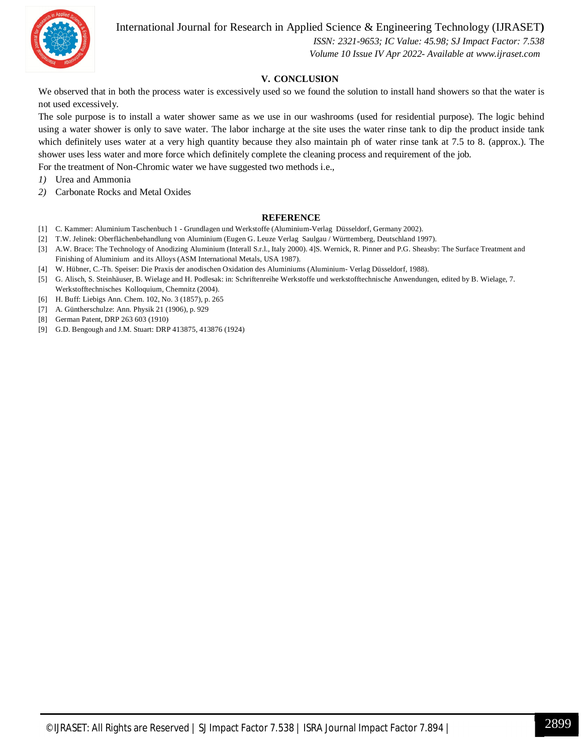International Journal for Research in Applied Science & Engineering Technology (IJRASET**)**



 *ISSN: 2321-9653; IC Value: 45.98; SJ Impact Factor: 7.538 Volume 10 Issue IV Apr 2022- Available at www.ijraset.com*

#### **V. CONCLUSION**

We observed that in both the process water is excessively used so we found the solution to install hand showers so that the water is not used excessively.

The sole purpose is to install a water shower same as we use in our washrooms (used for residential purpose). The logic behind using a water shower is only to save water. The labor incharge at the site uses the water rinse tank to dip the product inside tank which definitely uses water at a very high quantity because they also maintain ph of water rinse tank at 7.5 to 8. (approx.). The shower uses less water and more force which definitely complete the cleaning process and requirement of the job. For the treatment of Non-Chromic water we have suggested two methods i.e.,

*1)* Urea and Ammonia

*2)* Carbonate Rocks and Metal Oxides

#### **REFERENCE**

- [1] C. Kammer: Aluminium Taschenbuch 1 Grundlagen und Werkstoffe (Aluminium-Verlag Düsseldorf, Germany 2002).
- [2] T.W. Jelinek: Oberflächenbehandlung von Aluminium (Eugen G. Leuze Verlag Saulgau / Württemberg, Deutschland 1997).
- [3] A.W. Brace: The Technology of Anodizing Aluminium (Interall S.r.l., Italy 2000). 4]S. Wernick, R. Pinner and P.G. Sheasby: The Surface Treatment and Finishing of Aluminium and its Alloys (ASM International Metals, USA 1987).
- [4] W. Hübner, C.-Th. Speiser: Die Praxis der anodischen Oxidation des Aluminiums (Aluminium- Verlag Düsseldorf, 1988).
- [5] G. Alisch, S. Steinhäuser, B. Wielage and H. Podlesak: in: Schriftenreihe Werkstoffe und werkstofftechnische Anwendungen, edited by B. Wielage, 7. Werkstofftechnisches Kolloquium, Chemnitz (2004).
- [6] H. Buff: Liebigs Ann. Chem. 102, No. 3 (1857), p. 265
- [7] A. Güntherschulze: Ann. Physik 21 (1906), p. 929
- [8] German Patent, DRP 263 603 (1910)
- [9] G.D. Bengough and J.M. Stuart: DRP 413875, 413876 (1924)